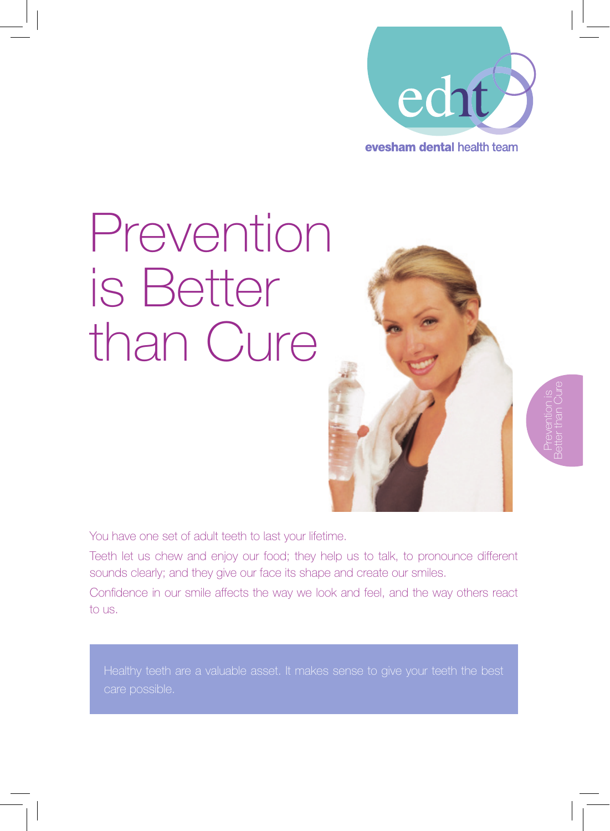

# Prevention is Better than Cure



Prevention is Better than Cure

You have one set of adult teeth to last your lifetime.

Teeth let us chew and enjoy our food; they help us to talk, to pronounce different sounds clearly; and they give our face its shape and create our smiles.

Confidence in our smile affects the way we look and feel, and the way others react to us.

care possible.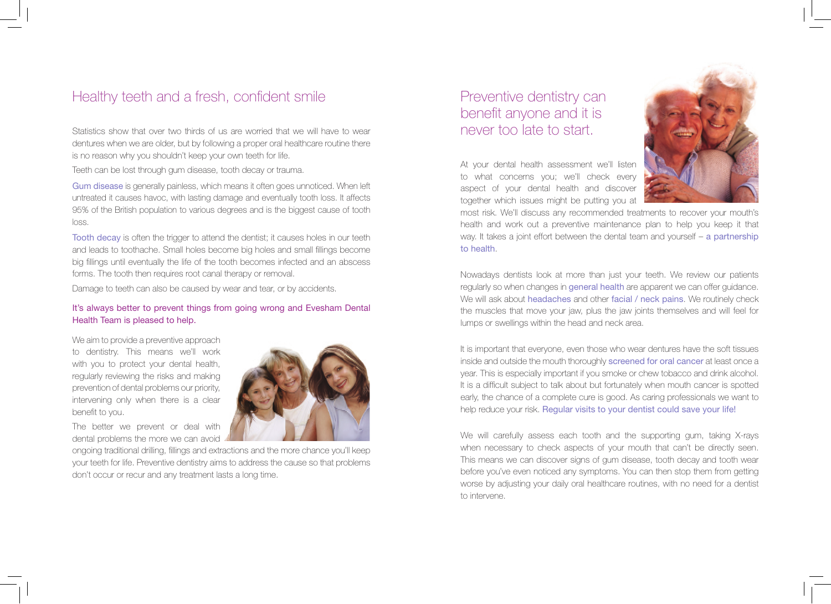## Healthy teeth and a fresh, confident smile

Statistics show that over two thirds of us are worried that we will have to wear dentures when we are older, but by following a proper oral healthcare routine there is no reason why you shouldn't keep your own teeth for life.

Teeth can be lost through gum disease, tooth decay or trauma.

Gum disease is generally painless, which means it often goes unnoticed. When left untreated it causes havoc, with lasting damage and eventually tooth loss. It affects 95% of the British population to various degrees and is the biggest cause of tooth loss.

Tooth decay is often the trigger to attend the dentist; it causes holes in our teeth and leads to toothache. Small holes become big holes and small fillings become big fillings until eventually the life of the tooth becomes infected and an abscess forms. The tooth then requires root canal therapy or removal.

Damage to teeth can also be caused by wear and tear, or by accidents.

## It's always better to prevent things from going wrong and Evesham Dental Health Team is pleased to help.

We aim to provide a preventive approach to dentistry. This means we'll work with you to protect your dental health, regularly reviewing the risks and making prevention of dental problems our priority, intervening only when there is a clear benefit to you.



The better we prevent or deal with dental problems the more we can avoid

ongoing traditional drilling, fillings and extractions and the more chance you'll keep your teeth for life. Preventive dentistry aims to address the cause so that problems don't occur or recur and any treatment lasts a long time.

# Preventive dentistry can benefit anyone and it is never too late to start.

At your dental health assessment we'll listen to what concerns you; we'll check every aspect of your dental health and discover together which issues might be putting you at



most risk. We'll discuss any recommended treatments to recover your mouth's health and work out a preventive maintenance plan to help you keep it that way. It takes a joint effort between the dental team and yourself – a partnership to health.

Nowadays dentists look at more than just your teeth. We review our patients regularly so when changes in general health are apparent we can offer guidance. We will ask about headaches and other facial / neck pains. We routinely check the muscles that move your jaw, plus the jaw joints themselves and will feel for lumps or swellings within the head and neck area.

It is important that everyone, even those who wear dentures have the soft tissues inside and outside the mouth thoroughly screened for oral cancer at least once a year. This is especially important if you smoke or chew tobacco and drink alcohol. It is a difficult subject to talk about but fortunately when mouth cancer is spotted early, the chance of a complete cure is good. As caring professionals we want to help reduce your risk. Regular visits to your dentist could save your life!

We will carefully assess each tooth and the supporting gum, taking X-rays when necessary to check aspects of your mouth that can't be directly seen. This means we can discover signs of gum disease, tooth decay and tooth wear before you've even noticed any symptoms. You can then stop them from getting worse by adjusting your daily oral healthcare routines, with no need for a dentist to intervene.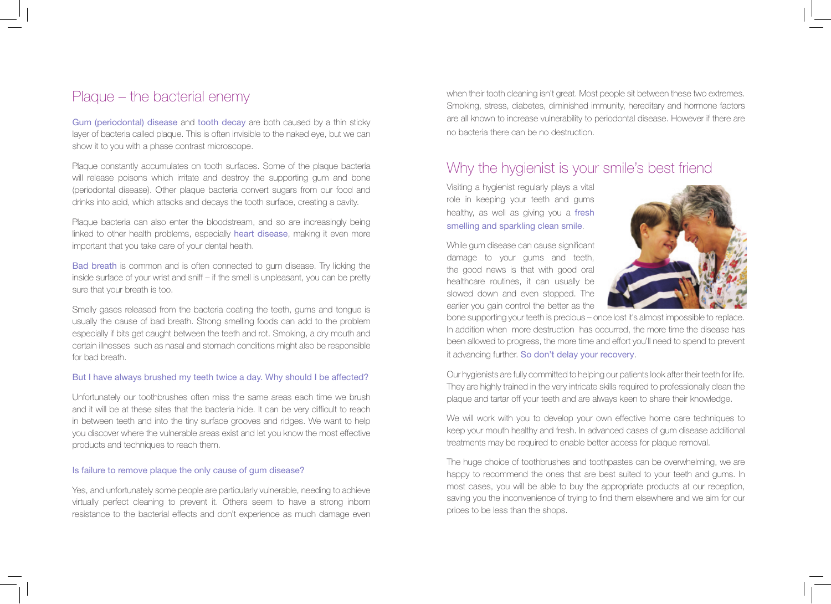## Plaque – the bacterial enemy

Gum (periodontal) disease and tooth decay are both caused by a thin sticky layer of bacteria called plaque. This is often invisible to the naked eye, but we can show it to you with a phase contrast microscope.

Plaque constantly accumulates on tooth surfaces. Some of the plaque bacteria will release poisons which irritate and destroy the supporting gum and bone (periodontal disease). Other plaque bacteria convert sugars from our food and drinks into acid, which attacks and decays the tooth surface, creating a cavity.

Plaque bacteria can also enter the bloodstream, and so are increasingly being linked to other health problems, especially heart disease, making it even more important that you take care of your dental health.

Bad breath is common and is often connected to gum disease. Try licking the inside surface of your wrist and sniff – if the smell is unpleasant, you can be pretty sure that your breath is too.

Smelly gases released from the bacteria coating the teeth, gums and tongue is usually the cause of bad breath. Strong smelling foods can add to the problem especially if bits get caught between the teeth and rot. Smoking, a dry mouth and certain illnesses such as nasal and stomach conditions might also be responsible for bad breath.

#### But I have always brushed my teeth twice a day. Why should I be affected?

Unfortunately our toothbrushes often miss the same areas each time we brush and it will be at these sites that the bacteria hide. It can be very difficult to reach in between teeth and into the tiny surface grooves and ridges. We want to help you discover where the vulnerable areas exist and let you know the most effective products and techniques to reach them.

#### Is failure to remove plaque the only cause of gum disease?

Yes, and unfortunately some people are particularly vulnerable, needing to achieve virtually perfect cleaning to prevent it. Others seem to have a strong inborn resistance to the bacterial effects and don't experience as much damage even

when their tooth cleaning isn't great. Most people sit between these two extremes. Smoking, stress, diabetes, diminished immunity, hereditary and hormone factors are all known to increase vulnerability to periodontal disease. However if there are no bacteria there can be no destruction.

## Why the hygienist is your smile's best friend

Visiting a hygienist regularly plays a vital role in keeping your teeth and gums healthy, as well as giving you a fresh smelling and sparkling clean smile.

While gum disease can cause significant damage to your gums and teeth, the good news is that with good oral healthcare routines, it can usually be slowed down and even stopped. The earlier you gain control the better as the



bone supporting your teeth is precious – once lost it's almost impossible to replace. In addition when more destruction has occurred, the more time the disease has been allowed to progress, the more time and effort you'll need to spend to prevent it advancing further. So don't delay your recovery.

Our hygienists are fully committed to helping our patients look after their teeth for life. They are highly trained in the very intricate skills required to professionally clean the plaque and tartar off your teeth and are always keen to share their knowledge.

We will work with you to develop your own effective home care techniques to keep your mouth healthy and fresh. In advanced cases of gum disease additional treatments may be required to enable better access for plaque removal.

The huge choice of toothbrushes and toothpastes can be overwhelming, we are happy to recommend the ones that are best suited to your teeth and gums. In most cases, you will be able to buy the appropriate products at our reception, saving you the inconvenience of trying to find them elsewhere and we aim for our prices to be less than the shops.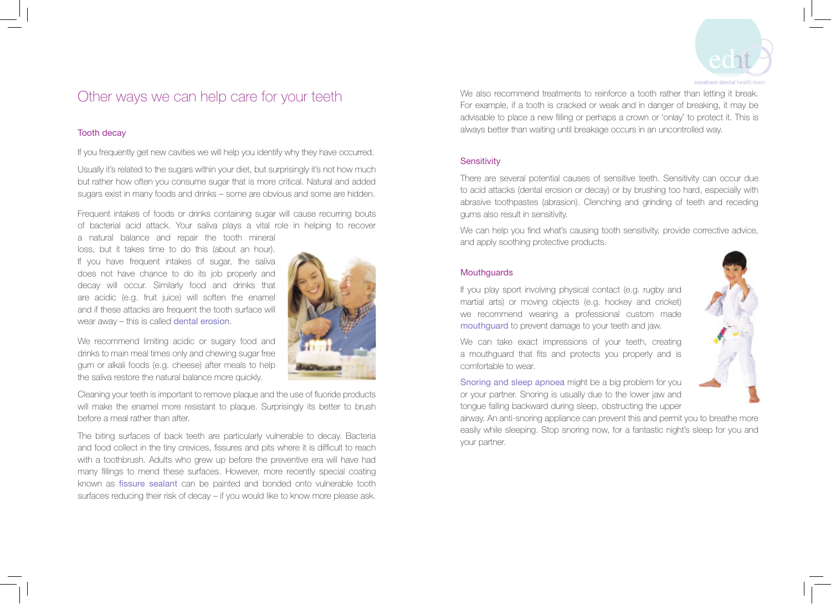

# Other ways we can help care for your teeth

#### Tooth decay

If you frequently get new cavities we will help you identify why they have occurred.

Usually it's related to the sugars within your diet, but surprisingly it's not how much but rather how often you consume sugar that is more critical. Natural and added sugars exist in many foods and drinks – some are obvious and some are hidden.

Frequent intakes of foods or drinks containing sugar will cause recurring bouts of bacterial acid attack. Your saliva plays a vital role in helping to recover

a natural balance and repair the tooth mineral loss, but it takes time to do this (about an hour). If you have frequent intakes of sugar, the saliva does not have chance to do its job properly and decay will occur. Similarly food and drinks that are acidic (e.g. fruit juice) will soften the enamel and if these attacks are frequent the tooth surface will wear away – this is called dental erosion.

We recommend limiting acidic or sugary food and drinks to main meal times only and chewing sugar free gum or alkali foods (e.g. cheese) after meals to help the saliva restore the natural balance more quickly.

Cleaning your teeth is important to remove plaque and the use of fluoride products will make the enamel more resistant to plaque. Surprisingly its better to brush before a meal rather than after.

The biting surfaces of back teeth are particularly vulnerable to decay. Bacteria and food collect in the tiny crevices, fissures and pits where it is difficult to reach with a toothbrush. Adults who grew up before the preventive era will have had many fillings to mend these surfaces. However, more recently special coating known as fissure sealant can be painted and bonded onto vulnerable tooth surfaces reducing their risk of decay – if you would like to know more please ask.

We also recommend treatments to reinforce a tooth rather than letting it break. For example, if a tooth is cracked or weak and in danger of breaking, it may be advisable to place a new filling or perhaps a crown or 'onlay' to protect it. This is always better than waiting until breakage occurs in an uncontrolled way.

## **Sensitivity**

There are several potential causes of sensitive teeth. Sensitivity can occur due to acid attacks (dental erosion or decay) or by brushing too hard, especially with abrasive toothpastes (abrasion). Clenching and grinding of teeth and receding gums also result in sensitivity.

We can help you find what's causing tooth sensitivity, provide corrective advice, and apply soothing protective products.

## **Mouthguards**

If you play sport involving physical contact (e.g. rugby and martial arts) or moving objects (e.g. hockey and cricket) we recommend wearing a professional custom made mouthguard to prevent damage to your teeth and jaw.

We can take exact impressions of your teeth, creating a mouthguard that fits and protects you properly and is comfortable to wear.

Snoring and sleep apnoea might be a big problem for you or your partner. Snoring is usually due to the lower jaw and tongue falling backward during sleep, obstructing the upper

airway. An anti-snoring appliance can prevent this and permit you to breathe more easily while sleeping. Stop snoring now, for a fantastic night's sleep for you and your partner.